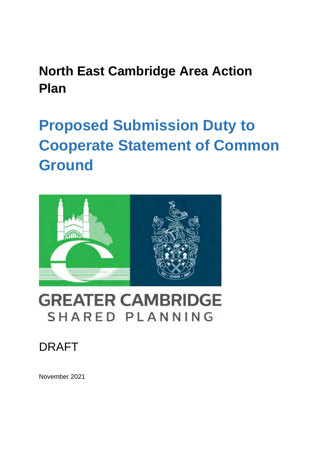## <span id="page-0-0"></span>**North East Cambridge Area Action Plan**

# <span id="page-0-1"></span>**Proposed Submission Duty to Cooperate Statement of Common Ground**



## **GREATER CAMBRIDGE** SHARED PLANNING

## DRAFT

November 2021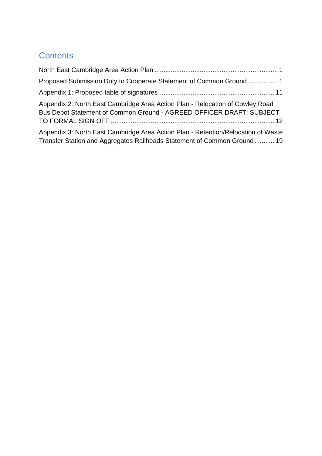### **Contents**

| Proposed Submission Duty to Cooperate Statement of Common Ground 1                                                                                           |
|--------------------------------------------------------------------------------------------------------------------------------------------------------------|
|                                                                                                                                                              |
| Appendix 2: North East Cambridge Area Action Plan - Relocation of Cowley Road<br>Bus Depot Statement of Common Ground - AGREED OFFICER DRAFT: SUBJECT        |
| Appendix 3: North East Cambridge Area Action Plan - Retention/Relocation of Waste<br>Transfer Station and Aggregates Railheads Statement of Common Ground 19 |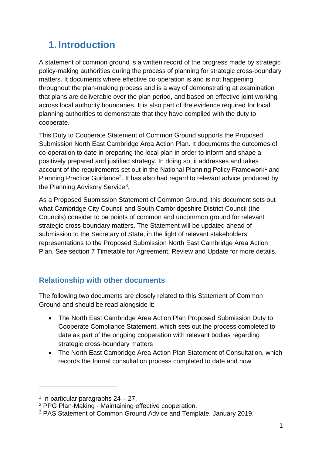## **1. Introduction**

A statement of common ground is a written record of the progress made by strategic policy-making authorities during the process of planning for strategic cross-boundary matters. It documents where effective co-operation is and is not happening throughout the plan-making process and is a way of demonstrating at examination that plans are deliverable over the plan period, and based on effective joint working across local authority boundaries. It is also part of the evidence required for local planning authorities to demonstrate that they have complied with the duty to cooperate.

This Duty to Cooperate Statement of Common Ground supports the Proposed Submission North East Cambridge Area Action Plan. It documents the outcomes of co-operation to date in preparing the local plan in order to inform and shape a positively prepared and justified strategy. In doing so, it addresses and takes account of the requirements set out in the National Planning Policy Framework<sup>[1](#page-2-0)</sup> and Planning Practice Guidance[2](#page-2-1). It has also had regard to relevant advice produced by the Planning Advisory Service<sup>[3](#page-2-2)</sup>.

As a Proposed Submission Statement of Common Ground, this document sets out what Cambridge City Council and South Cambridgeshire District Council (the Councils) consider to be points of common and uncommon ground for relevant strategic cross-boundary matters. The Statement will be updated ahead of submission to the Secretary of State, in the light of relevant stakeholders' representations to the Proposed Submission North East Cambridge Area Action Plan. See section 7 Timetable for Agreement, Review and Update for more details.

### **Relationship with other documents**

The following two documents are closely related to this Statement of Common Ground and should be read alongside it:

- The North East Cambridge Area Action Plan Proposed Submission Duty to Cooperate Compliance Statement, which sets out the process completed to date as part of the ongoing cooperation with relevant bodies regarding strategic cross-boundary matters
- The North East Cambridge Area Action Plan Statement of Consultation, which records the formal consultation process completed to date and how

<span id="page-2-0"></span><sup>&</sup>lt;sup>1</sup> In particular paragraphs  $24 - 27$ .

<span id="page-2-1"></span><sup>2</sup> PPG Plan-Making - Maintaining effective cooperation.

<span id="page-2-2"></span><sup>3</sup> PAS Statement of Common Ground Advice and Template, January 2019.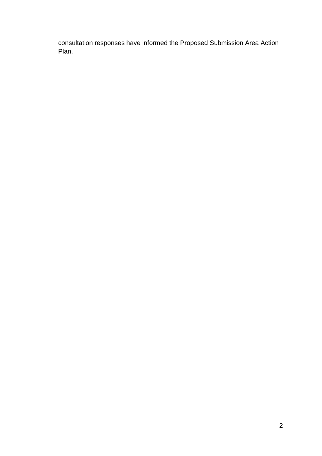consultation responses have informed the Proposed Submission Area Action Plan.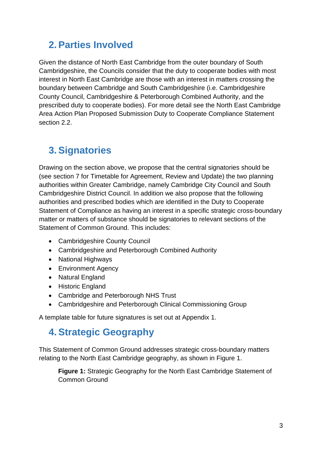## **2. Parties Involved**

Given the distance of North East Cambridge from the outer boundary of South Cambridgeshire, the Councils consider that the duty to cooperate bodies with most interest in North East Cambridge are those with an interest in matters crossing the boundary between Cambridge and South Cambridgeshire (i.e. Cambridgeshire County Council, Cambridgeshire & Peterborough Combined Authority, and the prescribed duty to cooperate bodies). For more detail see the North East Cambridge Area Action Plan Proposed Submission Duty to Cooperate Compliance Statement section 2.2.

## **3. Signatories**

Drawing on the section above, we propose that the central signatories should be (see section 7 for Timetable for Agreement, Review and Update) the two planning authorities within Greater Cambridge, namely Cambridge City Council and South Cambridgeshire District Council. In addition we also propose that the following authorities and prescribed bodies which are identified in the Duty to Cooperate Statement of Compliance as having an interest in a specific strategic cross-boundary matter or matters of substance should be signatories to relevant sections of the Statement of Common Ground. This includes:

- Cambridgeshire County Council
- Cambridgeshire and Peterborough Combined Authority
- National Highways
- Environment Agency
- Natural England
- Historic England
- Cambridge and Peterborough NHS Trust
- Cambridgeshire and Peterborough Clinical Commissioning Group

A template table for future signatures is set out at Appendix 1.

### **4. Strategic Geography**

This Statement of Common Ground addresses strategic cross-boundary matters relating to the North East Cambridge geography, as shown in Figure 1.

**Figure 1:** Strategic Geography for the North East Cambridge Statement of Common Ground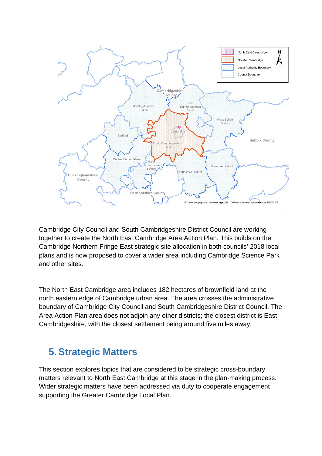

Cambridge City Council and South Cambridgeshire District Council are working together to create the North East Cambridge Area Action Plan. This builds on the Cambridge Northern Fringe East strategic site allocation in both councils' 2018 local plans and is now proposed to cover a wider area including Cambridge Science Park and other sites.

The North East Cambridge area includes 182 hectares of brownfield land at the north eastern edge of Cambridge urban area. The area crosses the administrative boundary of Cambridge City Council and South Cambridgeshire District Council. The Area Action Plan area does not adjoin any other districts; the closest district is East Cambridgeshire, with the closest settlement being around five miles away.

### **5. Strategic Matters**

This section explores topics that are considered to be strategic cross-boundary matters relevant to North East Cambridge at this stage in the plan-making process. Wider strategic matters have been addressed via duty to cooperate engagement supporting the Greater Cambridge Local Plan.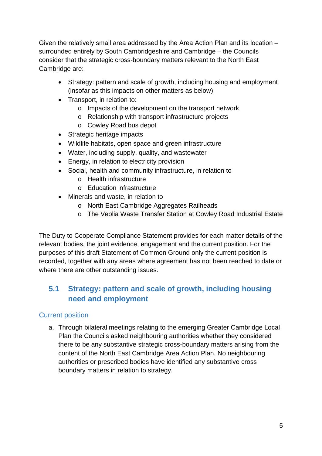Given the relatively small area addressed by the Area Action Plan and its location – surrounded entirely by South Cambridgeshire and Cambridge – the Councils consider that the strategic cross-boundary matters relevant to the North East Cambridge are:

- Strategy: pattern and scale of growth, including housing and employment (insofar as this impacts on other matters as below)
- Transport, in relation to:
	- o Impacts of the development on the transport network
	- o Relationship with transport infrastructure projects
	- o Cowley Road bus depot
- Strategic heritage impacts
- Wildlife habitats, open space and green infrastructure
- Water, including supply, quality, and wastewater
- Energy, in relation to electricity provision
- Social, health and community infrastructure, in relation to
	- o Health infrastructure
	- o Education infrastructure
- Minerals and waste, in relation to
	- o North East Cambridge Aggregates Railheads
	- o The Veolia Waste Transfer Station at Cowley Road Industrial Estate

The Duty to Cooperate Compliance Statement provides for each matter details of the relevant bodies, the joint evidence, engagement and the current position. For the purposes of this draft Statement of Common Ground only the current position is recorded, together with any areas where agreement has not been reached to date or where there are other outstanding issues.

### **5.1 Strategy: pattern and scale of growth, including housing need and employment**

### Current position

a. Through bilateral meetings relating to the emerging Greater Cambridge Local Plan the Councils asked neighbouring authorities whether they considered there to be any substantive strategic cross-boundary matters arising from the content of the North East Cambridge Area Action Plan. No neighbouring authorities or prescribed bodies have identified any substantive cross boundary matters in relation to strategy.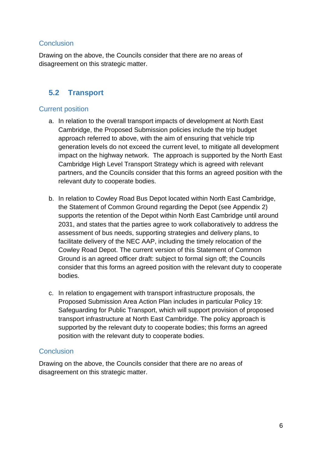### **Conclusion**

Drawing on the above, the Councils consider that there are no areas of disagreement on this strategic matter.

### **5.2 Transport**

### Current position

- a. In relation to the overall transport impacts of development at North East Cambridge, the Proposed Submission policies include the trip budget approach referred to above, with the aim of ensuring that vehicle trip generation levels do not exceed the current level, to mitigate all development impact on the highway network. The approach is supported by the North East Cambridge High Level Transport Strategy which is agreed with relevant partners, and the Councils consider that this forms an agreed position with the relevant duty to cooperate bodies.
- b. In relation to Cowley Road Bus Depot located within North East Cambridge, the Statement of Common Ground regarding the Depot (see Appendix 2) supports the retention of the Depot within North East Cambridge until around 2031, and states that the parties agree to work collaboratively to address the assessment of bus needs, supporting strategies and delivery plans, to facilitate delivery of the NEC AAP, including the timely relocation of the Cowley Road Depot. The current version of this Statement of Common Ground is an agreed officer draft: subject to formal sign off; the Councils consider that this forms an agreed position with the relevant duty to cooperate bodies.
- c. In relation to engagement with transport infrastructure proposals, the Proposed Submission Area Action Plan includes in particular Policy 19: Safeguarding for Public Transport, which will support provision of proposed transport infrastructure at North East Cambridge. The policy approach is supported by the relevant duty to cooperate bodies; this forms an agreed position with the relevant duty to cooperate bodies.

### **Conclusion**

Drawing on the above, the Councils consider that there are no areas of disagreement on this strategic matter.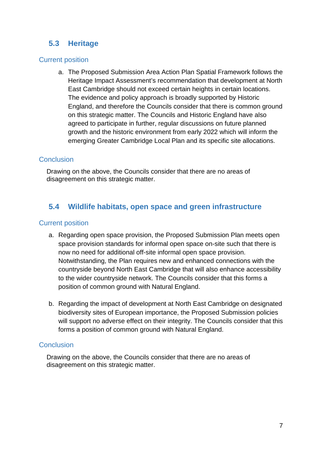### **5.3 Heritage**

### Current position

a. The Proposed Submission Area Action Plan Spatial Framework follows the Heritage Impact Assessment's recommendation that development at North East Cambridge should not exceed certain heights in certain locations. The evidence and policy approach is broadly supported by Historic England, and therefore the Councils consider that there is common ground on this strategic matter. The Councils and Historic England have also agreed to participate in further, regular discussions on future planned growth and the historic environment from early 2022 which will inform the emerging Greater Cambridge Local Plan and its specific site allocations.

### **Conclusion**

Drawing on the above, the Councils consider that there are no areas of disagreement on this strategic matter.

### **5.4 Wildlife habitats, open space and green infrastructure**

### Current position

- a. Regarding open space provision, the Proposed Submission Plan meets open space provision standards for informal open space on-site such that there is now no need for additional off-site informal open space provision. Notwithstanding, the Plan requires new and enhanced connections with the countryside beyond North East Cambridge that will also enhance accessibility to the wider countryside network. The Councils consider that this forms a position of common ground with Natural England.
- b. Regarding the impact of development at North East Cambridge on designated biodiversity sites of European importance, the Proposed Submission policies will support no adverse effect on their integrity. The Councils consider that this forms a position of common ground with Natural England.

### **Conclusion**

Drawing on the above, the Councils consider that there are no areas of disagreement on this strategic matter.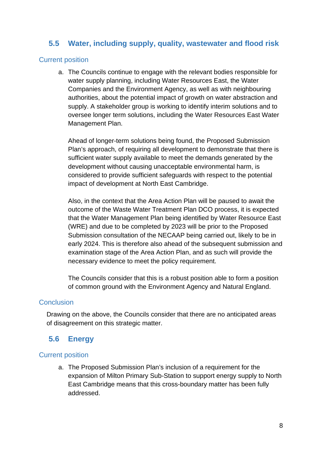### **5.5 Water, including supply, quality, wastewater and flood risk**

#### Current position

a. The Councils continue to engage with the relevant bodies responsible for water supply planning, including Water Resources East, the Water Companies and the Environment Agency, as well as with neighbouring authorities, about the potential impact of growth on water abstraction and supply. A stakeholder group is working to identify interim solutions and to oversee longer term solutions, including the Water Resources East Water Management Plan.

Ahead of longer-term solutions being found, the Proposed Submission Plan's approach, of requiring all development to demonstrate that there is sufficient water supply available to meet the demands generated by the development without causing unacceptable environmental harm, is considered to provide sufficient safeguards with respect to the potential impact of development at North East Cambridge.

Also, in the context that the Area Action Plan will be paused to await the outcome of the Waste Water Treatment Plan DCO process, it is expected that the Water Management Plan being identified by Water Resource East (WRE) and due to be completed by 2023 will be prior to the Proposed Submission consultation of the NECAAP being carried out, likely to be in early 2024. This is therefore also ahead of the subsequent submission and examination stage of the Area Action Plan, and as such will provide the necessary evidence to meet the policy requirement.

The Councils consider that this is a robust position able to form a position of common ground with the Environment Agency and Natural England.

#### **Conclusion**

Drawing on the above, the Councils consider that there are no anticipated areas of disagreement on this strategic matter.

### **5.6 Energy**

### Current position

a. The Proposed Submission Plan's inclusion of a requirement for the expansion of Milton Primary Sub-Station to support energy supply to North East Cambridge means that this cross-boundary matter has been fully addressed.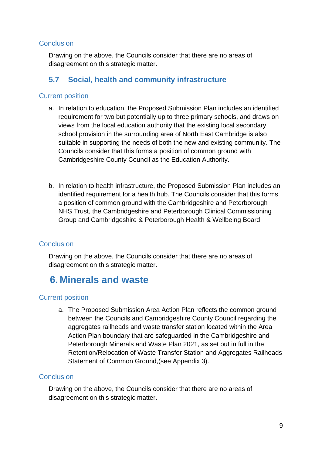### **Conclusion**

Drawing on the above, the Councils consider that there are no areas of disagreement on this strategic matter.

### **5.7 Social, health and community infrastructure**

### Current position

- a. In relation to education, the Proposed Submission Plan includes an identified requirement for two but potentially up to three primary schools, and draws on views from the local education authority that the existing local secondary school provision in the surrounding area of North East Cambridge is also suitable in supporting the needs of both the new and existing community. The Councils consider that this forms a position of common ground with Cambridgeshire County Council as the Education Authority.
- b. In relation to health infrastructure, the Proposed Submission Plan includes an identified requirement for a health hub. The Councils consider that this forms a position of common ground with the Cambridgeshire and Peterborough NHS Trust, the Cambridgeshire and Peterborough Clinical Commissioning Group and Cambridgeshire & Peterborough Health & Wellbeing Board.

### **Conclusion**

Drawing on the above, the Councils consider that there are no areas of disagreement on this strategic matter.

## **6. Minerals and waste**

### Current position

a. The Proposed Submission Area Action Plan reflects the common ground between the Councils and Cambridgeshire County Council regarding the aggregates railheads and waste transfer station located within the Area Action Plan boundary that are safeguarded in the Cambridgeshire and Peterborough Minerals and Waste Plan 2021, as set out in full in the Retention/Relocation of Waste Transfer Station and Aggregates Railheads Statement of Common Ground,(see Appendix 3).

### **Conclusion**

Drawing on the above, the Councils consider that there are no areas of disagreement on this strategic matter.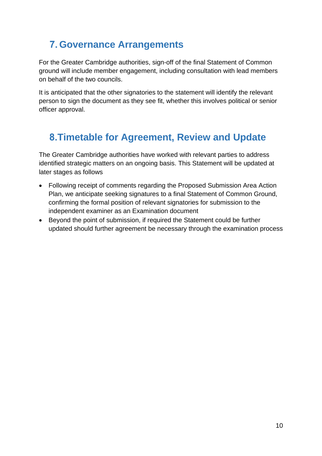## **7. Governance Arrangements**

For the Greater Cambridge authorities, sign-off of the final Statement of Common ground will include member engagement, including consultation with lead members on behalf of the two councils.

It is anticipated that the other signatories to the statement will identify the relevant person to sign the document as they see fit, whether this involves political or senior officer approval.

## **8.Timetable for Agreement, Review and Update**

The Greater Cambridge authorities have worked with relevant parties to address identified strategic matters on an ongoing basis. This Statement will be updated at later stages as follows

- Following receipt of comments regarding the Proposed Submission Area Action Plan, we anticipate seeking signatures to a final Statement of Common Ground, confirming the formal position of relevant signatories for submission to the independent examiner as an Examination document
- Beyond the point of submission, if required the Statement could be further updated should further agreement be necessary through the examination process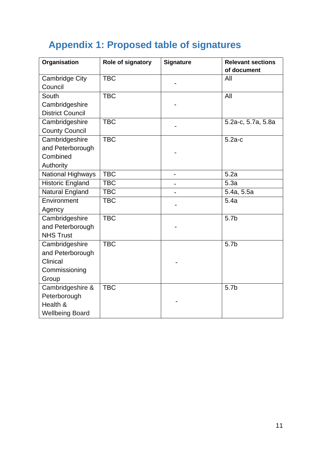## <span id="page-12-0"></span>**Appendix 1: Proposed table of signatures**

| Organisation                                                             | Role of signatory | <b>Signature</b> | <b>Relevant sections</b><br>of document |
|--------------------------------------------------------------------------|-------------------|------------------|-----------------------------------------|
| <b>Cambridge City</b><br>Council                                         | <b>TBC</b>        |                  | All                                     |
| South<br>Cambridgeshire<br><b>District Council</b>                       | <b>TBC</b>        |                  | All                                     |
| Cambridgeshire<br><b>County Council</b>                                  | <b>TBC</b>        |                  | 5.2a-c, 5.7a, 5.8a                      |
| Cambridgeshire<br>and Peterborough<br>Combined<br>Authority              | <b>TBC</b>        |                  | $5.2a-c$                                |
| National Highways                                                        | <b>TBC</b>        |                  | 5.2a                                    |
| <b>Historic England</b>                                                  | <b>TBC</b>        | $\blacksquare$   | 5.3a                                    |
| <b>Natural England</b>                                                   | <b>TBC</b>        |                  | 5.4a, 5.5a                              |
| Environment<br>Agency                                                    | <b>TBC</b>        |                  | 5.4a                                    |
| Cambridgeshire<br>and Peterborough<br><b>NHS Trust</b>                   | <b>TBC</b>        |                  | 5.7 <sub>b</sub>                        |
| Cambridgeshire<br>and Peterborough<br>Clinical<br>Commissioning<br>Group | <b>TBC</b>        |                  | 5.7 <sub>b</sub>                        |
| Cambridgeshire &<br>Peterborough<br>Health &<br><b>Wellbeing Board</b>   | <b>TBC</b>        |                  | 5.7 <sub>b</sub>                        |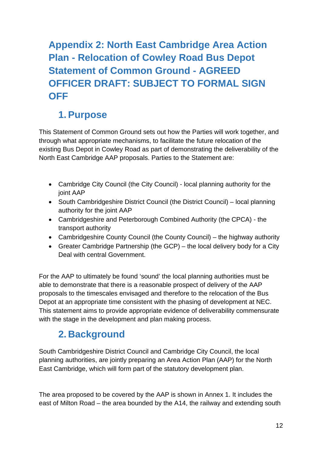## <span id="page-13-0"></span>**Appendix 2: North East Cambridge Area Action Plan - Relocation of Cowley Road Bus Depot Statement of Common Ground - AGREED OFFICER DRAFT: SUBJECT TO FORMAL SIGN OFF**

## **1. Purpose**

This Statement of Common Ground sets out how the Parties will work together, and through what appropriate mechanisms, to facilitate the future relocation of the existing Bus Depot in Cowley Road as part of demonstrating the deliverability of the North East Cambridge AAP proposals. Parties to the Statement are:

- Cambridge City Council (the City Council) local planning authority for the joint AAP
- South Cambridgeshire District Council (the District Council) local planning authority for the joint AAP
- Cambridgeshire and Peterborough Combined Authority (the CPCA) the transport authority
- Cambridgeshire County Council (the County Council) the highway authority
- Greater Cambridge Partnership (the GCP) the local delivery body for a City Deal with central Government.

For the AAP to ultimately be found 'sound' the local planning authorities must be able to demonstrate that there is a reasonable prospect of delivery of the AAP proposals to the timescales envisaged and therefore to the relocation of the Bus Depot at an appropriate time consistent with the phasing of development at NEC. This statement aims to provide appropriate evidence of deliverability commensurate with the stage in the development and plan making process.

## **2. Background**

South Cambridgeshire District Council and Cambridge City Council, the local planning authorities, are jointly preparing an Area Action Plan (AAP) for the North East Cambridge, which will form part of the statutory development plan.

The area proposed to be covered by the AAP is shown in Annex 1. It includes the east of Milton Road – the area bounded by the A14, the railway and extending south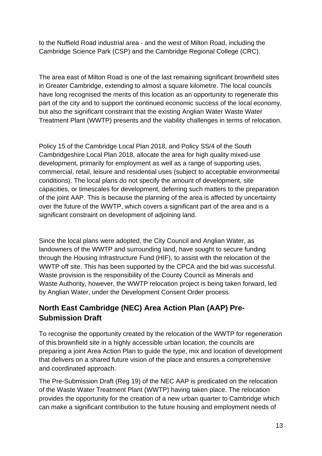to the Nuffield Road industrial area - and the west of Milton Road, including the Cambridge Science Park (CSP) and the Cambridge Regional College (CRC).

The area east of Milton Road is one of the last remaining significant brownfield sites in Greater Cambridge, extending to almost a square kilometre. The local councils have long recognised the merits of this location as an opportunity to regenerate this part of the city and to support the continued economic success of the local economy, but also the significant constraint that the existing Anglian Water Waste Water Treatment Plant (WWTP) presents and the viability challenges in terms of relocation.

Policy 15 of the Cambridge Local Plan 2018, and Policy SS/4 of the South Cambridgeshire Local Plan 2018, allocate the area for high quality mixed-use development, primarily for employment as well as a range of supporting uses, commercial, retail, leisure and residential uses (subject to acceptable environmental conditions). The local plans do not specify the amount of development, site capacities, or timescales for development, deferring such matters to the preparation of the joint AAP. This is because the planning of the area is affected by uncertainty over the future of the WWTP, which covers a significant part of the area and is a significant constraint on development of adjoining land.

Since the local plans were adopted, the City Council and Anglian Water, as landowners of the WWTP and surrounding land, have sought to secure funding through the Housing Infrastructure Fund (HIF), to assist with the relocation of the WWTP off site. This has been supported by the CPCA and the bid was successful. Waste provision is the responsibility of the County Council as Minerals and Waste Authority, however, the WWTP relocation project is being taken forward, led by Anglian Water, under the Development Consent Order process.

### **North East Cambridge (NEC) Area Action Plan (AAP) Pre-Submission Draft**

To recognise the opportunity created by the relocation of the WWTP for regeneration of this brownfield site in a highly accessible urban location, the councils are preparing a joint Area Action Plan to guide the type, mix and location of development that delivers on a shared future vision of the place and ensures a comprehensive and coordinated approach.

The Pre-Submission Draft (Reg 19) of the NEC AAP is predicated on the relocation of the Waste Water Treatment Plant (WWTP) having taken place. The relocation provides the opportunity for the creation of a new urban quarter to Cambridge which can make a significant contribution to the future housing and employment needs of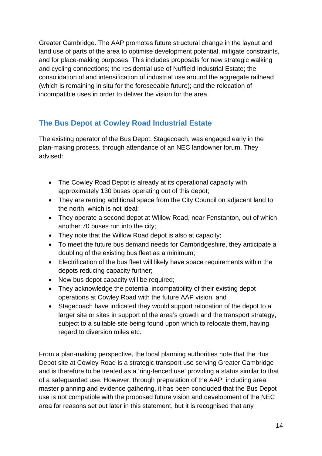Greater Cambridge. The AAP promotes future structural change in the layout and land use of parts of the area to optimise development potential, mitigate constraints, and for place-making purposes. This includes proposals for new strategic walking and cycling connections; the residential use of Nuffield Industrial Estate; the consolidation of and intensification of industrial use around the aggregate railhead (which is remaining in situ for the foreseeable future); and the relocation of incompatible uses in order to deliver the vision for the area.

### **The Bus Depot at Cowley Road Industrial Estate**

The existing operator of the Bus Depot, Stagecoach, was engaged early in the plan-making process, through attendance of an NEC landowner forum. They advised:

- The Cowley Road Depot is already at its operational capacity with approximately 130 buses operating out of this depot;
- They are renting additional space from the City Council on adjacent land to the north, which is not ideal;
- They operate a second depot at Willow Road, near Fenstanton, out of which another 70 buses run into the city;
- They note that the Willow Road depot is also at capacity;
- To meet the future bus demand needs for Cambridgeshire, they anticipate a doubling of the existing bus fleet as a minimum;
- Electrification of the bus fleet will likely have space requirements within the depots reducing capacity further;
- New bus depot capacity will be required;
- They acknowledge the potential incompatibility of their existing depot operations at Cowley Road with the future AAP vision; and
- Stagecoach have indicated they would support relocation of the depot to a larger site or sites in support of the area's growth and the transport strategy, subject to a suitable site being found upon which to relocate them, having regard to diversion miles etc.

From a plan-making perspective, the local planning authorities note that the Bus Depot site at Cowley Road is a strategic transport use serving Greater Cambridge and is therefore to be treated as a 'ring-fenced use' providing a status similar to that of a safeguarded use. However, through preparation of the AAP, including area master planning and evidence gathering, it has been concluded that the Bus Depot use is not compatible with the proposed future vision and development of the NEC area for reasons set out later in this statement, but it is recognised that any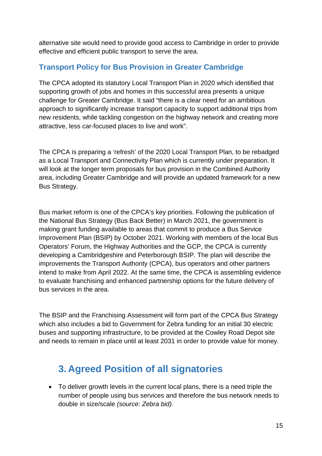alternative site would need to provide good access to Cambridge in order to provide effective and efficient public transport to serve the area.

### **Transport Policy for Bus Provision in Greater Cambridge**

The CPCA adopted its statutory Local Transport Plan in 2020 which identified that supporting growth of jobs and homes in this successful area presents a unique challenge for Greater Cambridge. It said "there is a clear need for an ambitious approach to significantly increase transport capacity to support additional trips from new residents, while tackling congestion on the highway network and creating more attractive, less car-focused places to live and work".

The CPCA is preparing a 'refresh' of the 2020 Local Transport Plan, to be rebadged as a Local Transport and Connectivity Plan which is currently under preparation. It will look at the longer term proposals for bus provision in the Combined Authority area, including Greater Cambridge and will provide an updated framework for a new Bus Strategy.

Bus market reform is one of the CPCA's key priorities. Following the publication of the National Bus Strategy (Bus Back Better) in March 2021, the government is making grant funding available to areas that commit to produce a Bus Service Improvement Plan (BSIP) by October 2021. Working with members of the local Bus Operators' Forum, the Highway Authorities and the GCP, the CPCA is currently developing a Cambridgeshire and Peterborough BSIP. The plan will describe the improvements the Transport Authority (CPCA), bus operators and other partners intend to make from April 2022. At the same time, the CPCA is assembling evidence to evaluate franchising and enhanced partnership options for the future delivery of bus services in the area.

The BSIP and the Franchising Assessment will form part of the CPCA Bus Strategy which also includes a bid to Government for Zebra funding for an initial 30 electric buses and supporting infrastructure, to be provided at the Cowley Road Depot site and needs to remain in place until at least 2031 in order to provide value for money.

## **3. Agreed Position of all signatories**

• To deliver growth levels in the current local plans, there is a need triple the number of people using bus services and therefore the bus network needs to double in size/scale *(source: Zebra bid).*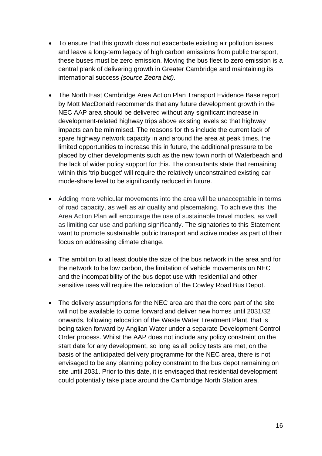- To ensure that this growth does not exacerbate existing air pollution issues and leave a long-term legacy of high carbon emissions from public transport, these buses must be zero emission. Moving the bus fleet to zero emission is a central plank of delivering growth in Greater Cambridge and maintaining its international success *(source Zebra bid).*
- The North East Cambridge Area Action Plan Transport Evidence Base report by Mott MacDonald recommends that any future development growth in the NEC AAP area should be delivered without any significant increase in development-related highway trips above existing levels so that highway impacts can be minimised. The reasons for this include the current lack of spare highway network capacity in and around the area at peak times, the limited opportunities to increase this in future, the additional pressure to be placed by other developments such as the new town north of Waterbeach and the lack of wider policy support for this. The consultants state that remaining within this 'trip budget' will require the relatively unconstrained existing car mode-share level to be significantly reduced in future.
- Adding more vehicular movements into the area will be unacceptable in terms of road capacity, as well as air quality and placemaking. To achieve this, the Area Action Plan will encourage the use of sustainable travel modes, as well as limiting car use and parking significantly. The signatories to this Statement want to promote sustainable public transport and active modes as part of their focus on addressing climate change.
- The ambition to at least double the size of the bus network in the area and for the network to be low carbon, the limitation of vehicle movements on NEC and the incompatibility of the bus depot use with residential and other sensitive uses will require the relocation of the Cowley Road Bus Depot.
- The delivery assumptions for the NEC area are that the core part of the site will not be available to come forward and deliver new homes until 2031/32 onwards, following relocation of the Waste Water Treatment Plant, that is being taken forward by Anglian Water under a separate Development Control Order process. Whilst the AAP does not include any policy constraint on the start date for any development, so long as all policy tests are met, on the basis of the anticipated delivery programme for the NEC area, there is not envisaged to be any planning policy constraint to the bus depot remaining on site until 2031. Prior to this date, it is envisaged that residential development could potentially take place around the Cambridge North Station area.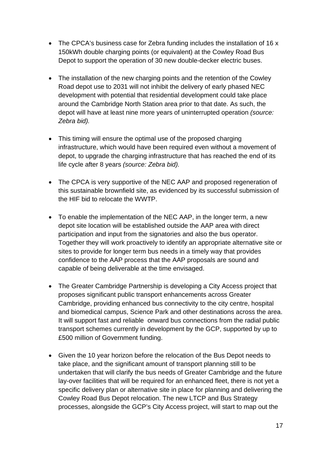- The CPCA's business case for Zebra funding includes the installation of 16 x 150kWh double charging points (or equivalent) at the Cowley Road Bus Depot to support the operation of 30 new double-decker electric buses.
- The installation of the new charging points and the retention of the Cowley Road depot use to 2031 will not inhibit the delivery of early phased NEC development with potential that residential development could take place around the Cambridge North Station area prior to that date. As such, the depot will have at least nine more years of uninterrupted operation *(source: Zebra bid).*
- This timing will ensure the optimal use of the proposed charging infrastructure, which would have been required even without a movement of depot, to upgrade the charging infrastructure that has reached the end of its life cycle after 8 years *(source: Zebra bid).*
- The CPCA is very supportive of the NEC AAP and proposed regeneration of this sustainable brownfield site, as evidenced by its successful submission of the HIF bid to relocate the WWTP.
- To enable the implementation of the NEC AAP, in the longer term, a new depot site location will be established outside the AAP area with direct participation and input from the signatories and also the bus operator. Together they will work proactively to identify an appropriate alternative site or sites to provide for longer term bus needs in a timely way that provides confidence to the AAP process that the AAP proposals are sound and capable of being deliverable at the time envisaged.
- The Greater Cambridge Partnership is developing a City Access project that proposes significant public transport enhancements across Greater Cambridge, providing enhanced bus connectivity to the city centre, hospital and biomedical campus, Science Park and other destinations across the area. It will support fast and reliable onward bus connections from the radial public transport schemes currently in development by the GCP, supported by up to £500 million of Government funding.
- Given the 10 year horizon before the relocation of the Bus Depot needs to take place, and the significant amount of transport planning still to be undertaken that will clarify the bus needs of Greater Cambridge and the future lay-over facilities that will be required for an enhanced fleet, there is not yet a specific delivery plan or alternative site in place for planning and delivering the Cowley Road Bus Depot relocation. The new LTCP and Bus Strategy processes, alongside the GCP's City Access project, will start to map out the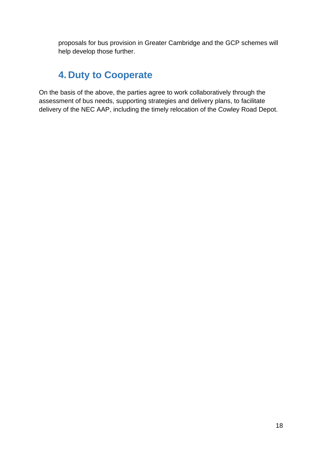proposals for bus provision in Greater Cambridge and the GCP schemes will help develop those further.

### **4. Duty to Cooperate**

On the basis of the above, the parties agree to work collaboratively through the assessment of bus needs, supporting strategies and delivery plans, to facilitate delivery of the NEC AAP, including the timely relocation of the Cowley Road Depot.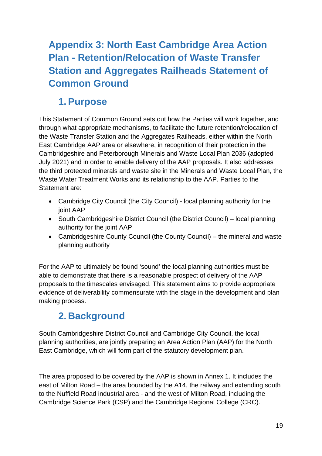## <span id="page-20-0"></span>**Appendix 3: North East Cambridge Area Action Plan - Retention/Relocation of Waste Transfer Station and Aggregates Railheads Statement of Common Ground**

## **1. Purpose**

This Statement of Common Ground sets out how the Parties will work together, and through what appropriate mechanisms, to facilitate the future retention/relocation of the Waste Transfer Station and the Aggregates Railheads, either within the North East Cambridge AAP area or elsewhere, in recognition of their protection in the Cambridgeshire and Peterborough Minerals and Waste Local Plan 2036 (adopted July 2021) and in order to enable delivery of the AAP proposals. It also addresses the third protected minerals and waste site in the Minerals and Waste Local Plan, the Waste Water Treatment Works and its relationship to the AAP. Parties to the Statement are:

- Cambridge City Council (the City Council) local planning authority for the joint AAP
- South Cambridgeshire District Council (the District Council) local planning authority for the joint AAP
- Cambridgeshire County Council (the County Council) the mineral and waste planning authority

For the AAP to ultimately be found 'sound' the local planning authorities must be able to demonstrate that there is a reasonable prospect of delivery of the AAP proposals to the timescales envisaged. This statement aims to provide appropriate evidence of deliverability commensurate with the stage in the development and plan making process.

## **2. Background**

South Cambridgeshire District Council and Cambridge City Council, the local planning authorities, are jointly preparing an Area Action Plan (AAP) for the North East Cambridge, which will form part of the statutory development plan.

The area proposed to be covered by the AAP is shown in Annex 1. It includes the east of Milton Road – the area bounded by the A14, the railway and extending south to the Nuffield Road industrial area - and the west of Milton Road, including the Cambridge Science Park (CSP) and the Cambridge Regional College (CRC).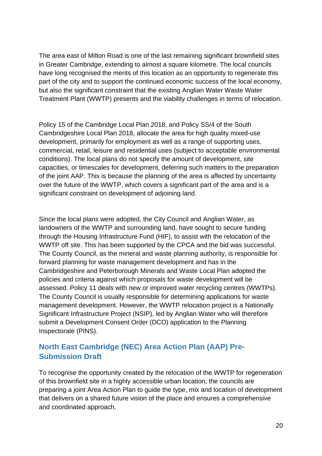The area east of Milton Road is one of the last remaining significant brownfield sites in Greater Cambridge, extending to almost a square kilometre. The local councils have long recognised the merits of this location as an opportunity to regenerate this part of the city and to support the continued economic success of the local economy, but also the significant constraint that the existing Anglian Water Waste Water Treatment Plant (WWTP) presents and the viability challenges in terms of relocation.

Policy 15 of the Cambridge Local Plan 2018, and Policy SS/4 of the South Cambridgeshire Local Plan 2018, allocate the area for high quality mixed-use development, primarily for employment as well as a range of supporting uses, commercial, retail, leisure and residential uses (subject to acceptable environmental conditions). The local plans do not specify the amount of development, site capacities, or timescales for development, deferring such matters to the preparation of the joint AAP. This is because the planning of the area is affected by uncertainty over the future of the WWTP, which covers a significant part of the area and is a significant constraint on development of adjoining land.

Since the local plans were adopted, the City Council and Anglian Water, as landowners of the WWTP and surrounding land, have sought to secure funding through the Housing Infrastructure Fund (HIF), to assist with the relocation of the WWTP off site. This has been supported by the CPCA and the bid was successful. The County Council, as the mineral and waste planning authority, is responsible for forward planning for waste management development and has in the Cambridgeshire and Peterborough Minerals and Waste Local Plan adopted the policies and criteria against which proposals for waste development will be assessed. Policy 11 deals with new or improved water recycling centres (WWTPs). The County Council is usually responsible for determining applications for waste management development. However, the WWTP relocation project is a Nationally Significant Infrastructure Project (NSIP), led by Anglian Water who will therefore submit a Development Consent Order (DCO) application to the Planning Inspectorate (PINS).

### **North East Cambridge (NEC) Area Action Plan (AAP) Pre-Submission Draft**

To recognise the opportunity created by the relocation of the WWTP for regeneration of this brownfield site in a highly accessible urban location, the councils are preparing a joint Area Action Plan to guide the type, mix and location of development that delivers on a shared future vision of the place and ensures a comprehensive and coordinated approach.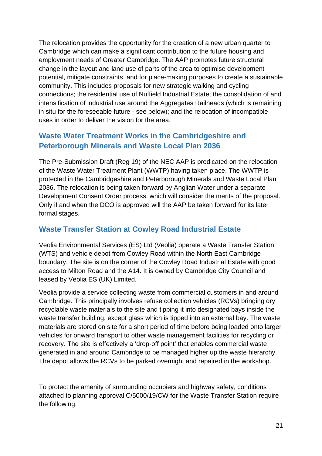The relocation provides the opportunity for the creation of a new urban quarter to Cambridge which can make a significant contribution to the future housing and employment needs of Greater Cambridge. The AAP promotes future structural change in the layout and land use of parts of the area to optimise development potential, mitigate constraints, and for place-making purposes to create a sustainable community. This includes proposals for new strategic walking and cycling connections; the residential use of Nuffield Industrial Estate; the consolidation of and intensification of industrial use around the Aggregates Railheads (which is remaining in situ for the foreseeable future - see below); and the relocation of incompatible uses in order to deliver the vision for the area.

### **Waste Water Treatment Works in the Cambridgeshire and Peterborough Minerals and Waste Local Plan 2036**

The Pre-Submission Draft (Reg 19) of the NEC AAP is predicated on the relocation of the Waste Water Treatment Plant (WWTP) having taken place. The WWTP is protected in the Cambridgeshire and Peterborough Minerals and Waste Local Plan 2036. The relocation is being taken forward by Anglian Water under a separate Development Consent Order process, which will consider the merits of the proposal. Only if and when the DCO is approved will the AAP be taken forward for its later formal stages.

### **Waste Transfer Station at Cowley Road Industrial Estate**

Veolia Environmental Services (ES) Ltd (Veolia) operate a Waste Transfer Station (WTS) and vehicle depot from Cowley Road within the North East Cambridge boundary. The site is on the corner of the Cowley Road Industrial Estate with good access to Milton Road and the A14. It is owned by Cambridge City Council and leased by Veolia ES (UK) Limited.

Veolia provide a service collecting waste from commercial customers in and around Cambridge. This principally involves refuse collection vehicles (RCVs) bringing dry recyclable waste materials to the site and tipping it into designated bays inside the waste transfer building, except glass which is tipped into an external bay. The waste materials are stored on site for a short period of time before being loaded onto larger vehicles for onward transport to other waste management facilities for recycling or recovery. The site is effectively a 'drop-off point' that enables commercial waste generated in and around Cambridge to be managed higher up the waste hierarchy. The depot allows the RCVs to be parked overnight and repaired in the workshop.

To protect the amenity of surrounding occupiers and highway safety, conditions attached to planning approval C/5000/19/CW for the Waste Transfer Station require the following: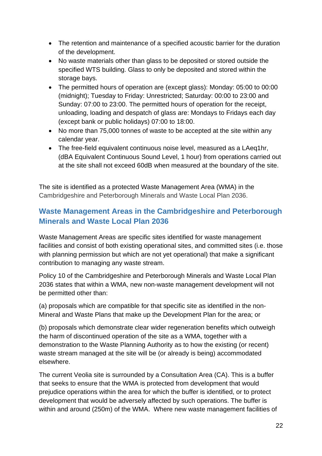- The retention and maintenance of a specified acoustic barrier for the duration of the development.
- No waste materials other than glass to be deposited or stored outside the specified WTS building. Glass to only be deposited and stored within the storage bays.
- The permitted hours of operation are (except glass): Monday: 05:00 to 00:00 (midnight); Tuesday to Friday: Unrestricted; Saturday: 00:00 to 23:00 and Sunday: 07:00 to 23:00. The permitted hours of operation for the receipt, unloading, loading and despatch of glass are: Mondays to Fridays each day (except bank or public holidays) 07:00 to 18:00.
- No more than 75,000 tonnes of waste to be accepted at the site within any calendar year.
- The free-field equivalent continuous noise level, measured as a LAeq1hr, (dBA Equivalent Continuous Sound Level, 1 hour) from operations carried out at the site shall not exceed 60dB when measured at the boundary of the site.

The site is identified as a protected Waste Management Area (WMA) in the Cambridgeshire and Peterborough Minerals and Waste Local Plan 2036.

### **Waste Management Areas in the Cambridgeshire and Peterborough Minerals and Waste Local Plan 2036**

Waste Management Areas are specific sites identified for waste management facilities and consist of both existing operational sites, and committed sites (i.e. those with planning permission but which are not yet operational) that make a significant contribution to managing any waste stream.

Policy 10 of the Cambridgeshire and Peterborough Minerals and Waste Local Plan 2036 states that within a WMA, new non-waste management development will not be permitted other than:

(a) proposals which are compatible for that specific site as identified in the non-Mineral and Waste Plans that make up the Development Plan for the area; or

(b) proposals which demonstrate clear wider regeneration benefits which outweigh the harm of discontinued operation of the site as a WMA, together with a demonstration to the Waste Planning Authority as to how the existing (or recent) waste stream managed at the site will be (or already is being) accommodated elsewhere.

The current Veolia site is surrounded by a Consultation Area (CA). This is a buffer that seeks to ensure that the WMA is protected from development that would prejudice operations within the area for which the buffer is identified, or to protect development that would be adversely affected by such operations. The buffer is within and around (250m) of the WMA. Where new waste management facilities of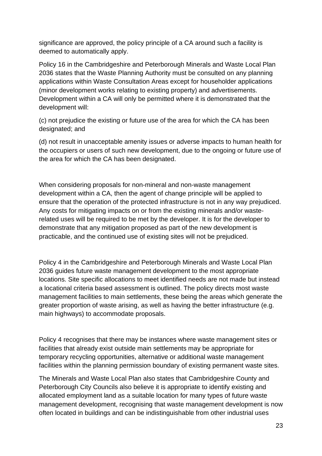significance are approved, the policy principle of a CA around such a facility is deemed to automatically apply.

Policy 16 in the Cambridgeshire and Peterborough Minerals and Waste Local Plan 2036 states that the Waste Planning Authority must be consulted on any planning applications within Waste Consultation Areas except for householder applications (minor development works relating to existing property) and advertisements. Development within a CA will only be permitted where it is demonstrated that the development will:

(c) not prejudice the existing or future use of the area for which the CA has been designated; and

(d) not result in unacceptable amenity issues or adverse impacts to human health for the occupiers or users of such new development, due to the ongoing or future use of the area for which the CA has been designated.

When considering proposals for non-mineral and non-waste management development within a CA, then the agent of change principle will be applied to ensure that the operation of the protected infrastructure is not in any way prejudiced. Any costs for mitigating impacts on or from the existing minerals and/or wasterelated uses will be required to be met by the developer. It is for the developer to demonstrate that any mitigation proposed as part of the new development is practicable, and the continued use of existing sites will not be prejudiced.

Policy 4 in the Cambridgeshire and Peterborough Minerals and Waste Local Plan 2036 guides future waste management development to the most appropriate locations. Site specific allocations to meet identified needs are not made but instead a locational criteria based assessment is outlined. The policy directs most waste management facilities to main settlements, these being the areas which generate the greater proportion of waste arising, as well as having the better infrastructure (e.g. main highways) to accommodate proposals.

Policy 4 recognises that there may be instances where waste management sites or facilities that already exist outside main settlements may be appropriate for temporary recycling opportunities, alternative or additional waste management facilities within the planning permission boundary of existing permanent waste sites.

The Minerals and Waste Local Plan also states that Cambridgeshire County and Peterborough City Councils also believe it is appropriate to identify existing and allocated employment land as a suitable location for many types of future waste management development, recognising that waste management development is now often located in buildings and can be indistinguishable from other industrial uses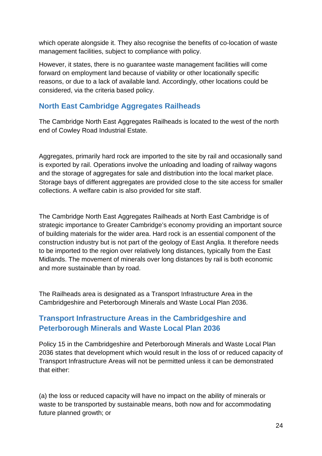which operate alongside it. They also recognise the benefits of co-location of waste management facilities, subject to compliance with policy.

However, it states, there is no guarantee waste management facilities will come forward on employment land because of viability or other locationally specific reasons, or due to a lack of available land. Accordingly, other locations could be considered, via the criteria based policy.

### **North East Cambridge Aggregates Railheads**

The Cambridge North East Aggregates Railheads is located to the west of the north end of Cowley Road Industrial Estate.

Aggregates, primarily hard rock are imported to the site by rail and occasionally sand is exported by rail. Operations involve the unloading and loading of railway wagons and the storage of aggregates for sale and distribution into the local market place. Storage bays of different aggregates are provided close to the site access for smaller collections. A welfare cabin is also provided for site staff.

The Cambridge North East Aggregates Railheads at North East Cambridge is of strategic importance to Greater Cambridge's economy providing an important source of building materials for the wider area. Hard rock is an essential component of the construction industry but is not part of the geology of East Anglia. It therefore needs to be imported to the region over relatively long distances, typically from the East Midlands. The movement of minerals over long distances by rail is both economic and more sustainable than by road.

The Railheads area is designated as a Transport Infrastructure Area in the Cambridgeshire and Peterborough Minerals and Waste Local Plan 2036.

### **Transport Infrastructure Areas in the Cambridgeshire and Peterborough Minerals and Waste Local Plan 2036**

Policy 15 in the Cambridgeshire and Peterborough Minerals and Waste Local Plan 2036 states that development which would result in the loss of or reduced capacity of Transport Infrastructure Areas will not be permitted unless it can be demonstrated that either:

(a) the loss or reduced capacity will have no impact on the ability of minerals or waste to be transported by sustainable means, both now and for accommodating future planned growth; or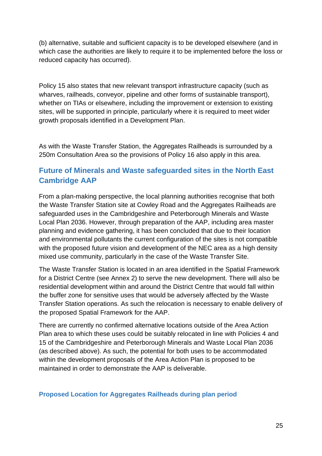(b) alternative, suitable and sufficient capacity is to be developed elsewhere (and in which case the authorities are likely to require it to be implemented before the loss or reduced capacity has occurred).

Policy 15 also states that new relevant transport infrastructure capacity (such as wharves, railheads, conveyor, pipeline and other forms of sustainable transport), whether on TIAs or elsewhere, including the improvement or extension to existing sites, will be supported in principle, particularly where it is required to meet wider growth proposals identified in a Development Plan.

As with the Waste Transfer Station, the Aggregates Railheads is surrounded by a 250m Consultation Area so the provisions of Policy 16 also apply in this area.

### **Future of Minerals and Waste safeguarded sites in the North East Cambridge AAP**

From a plan-making perspective, the local planning authorities recognise that both the Waste Transfer Station site at Cowley Road and the Aggregates Railheads are safeguarded uses in the Cambridgeshire and Peterborough Minerals and Waste Local Plan 2036. However, through preparation of the AAP, including area master planning and evidence gathering, it has been concluded that due to their location and environmental pollutants the current configuration of the sites is not compatible with the proposed future vision and development of the NEC area as a high density mixed use community, particularly in the case of the Waste Transfer Site.

The Waste Transfer Station is located in an area identified in the Spatial Framework for a District Centre (see Annex 2) to serve the new development. There will also be residential development within and around the District Centre that would fall within the buffer zone for sensitive uses that would be adversely affected by the Waste Transfer Station operations. As such the relocation is necessary to enable delivery of the proposed Spatial Framework for the AAP.

There are currently no confirmed alternative locations outside of the Area Action Plan area to which these uses could be suitably relocated in line with Policies 4 and 15 of the Cambridgeshire and Peterborough Minerals and Waste Local Plan 2036 (as described above). As such, the potential for both uses to be accommodated within the development proposals of the Area Action Plan is proposed to be maintained in order to demonstrate the AAP is deliverable.

#### **Proposed Location for Aggregates Railheads during plan period**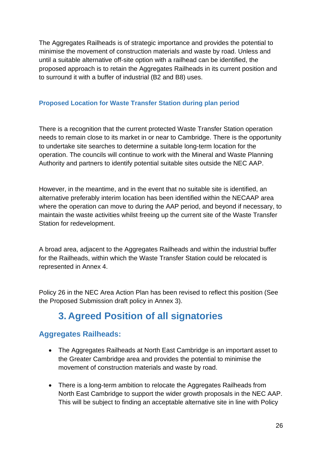The Aggregates Railheads is of strategic importance and provides the potential to minimise the movement of construction materials and waste by road. Unless and until a suitable alternative off-site option with a railhead can be identified, the proposed approach is to retain the Aggregates Railheads in its current position and to surround it with a buffer of industrial (B2 and B8) uses.

### **Proposed Location for Waste Transfer Station during plan period**

There is a recognition that the current protected Waste Transfer Station operation needs to remain close to its market in or near to Cambridge. There is the opportunity to undertake site searches to determine a suitable long-term location for the operation. The councils will continue to work with the Mineral and Waste Planning Authority and partners to identify potential suitable sites outside the NEC AAP.

However, in the meantime, and in the event that no suitable site is identified, an alternative preferably interim location has been identified within the NECAAP area where the operation can move to during the AAP period, and beyond if necessary, to maintain the waste activities whilst freeing up the current site of the Waste Transfer Station for redevelopment.

A broad area, adjacent to the Aggregates Railheads and within the industrial buffer for the Railheads, within which the Waste Transfer Station could be relocated is represented in Annex 4.

Policy 26 in the NEC Area Action Plan has been revised to reflect this position (See the Proposed Submission draft policy in Annex 3).

## **3. Agreed Position of all signatories**

### **Aggregates Railheads:**

- The Aggregates Railheads at North East Cambridge is an important asset to the Greater Cambridge area and provides the potential to minimise the movement of construction materials and waste by road.
- There is a long-term ambition to relocate the Aggregates Railheads from North East Cambridge to support the wider growth proposals in the NEC AAP. This will be subject to finding an acceptable alternative site in line with Policy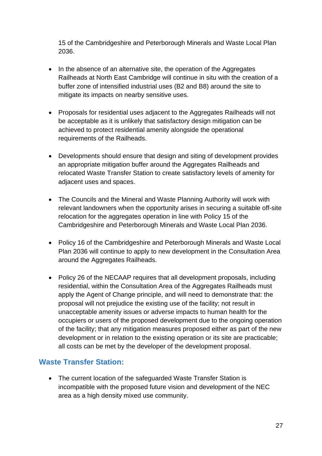15 of the Cambridgeshire and Peterborough Minerals and Waste Local Plan 2036.

- In the absence of an alternative site, the operation of the Aggregates Railheads at North East Cambridge will continue in situ with the creation of a buffer zone of intensified industrial uses (B2 and B8) around the site to mitigate its impacts on nearby sensitive uses.
- Proposals for residential uses adjacent to the Aggregates Railheads will not be acceptable as it is unlikely that satisfactory design mitigation can be achieved to protect residential amenity alongside the operational requirements of the Railheads.
- Developments should ensure that design and siting of development provides an appropriate mitigation buffer around the Aggregates Railheads and relocated Waste Transfer Station to create satisfactory levels of amenity for adjacent uses and spaces.
- The Councils and the Mineral and Waste Planning Authority will work with relevant landowners when the opportunity arises in securing a suitable off-site relocation for the aggregates operation in line with Policy 15 of the Cambridgeshire and Peterborough Minerals and Waste Local Plan 2036.
- Policy 16 of the Cambridgeshire and Peterborough Minerals and Waste Local Plan 2036 will continue to apply to new development in the Consultation Area around the Aggregates Railheads.
- Policy 26 of the NECAAP requires that all development proposals, including residential, within the Consultation Area of the Aggregates Railheads must apply the Agent of Change principle, and will need to demonstrate that: the proposal will not prejudice the existing use of the facility; not result in unacceptable amenity issues or adverse impacts to human health for the occupiers or users of the proposed development due to the ongoing operation of the facility; that any mitigation measures proposed either as part of the new development or in relation to the existing operation or its site are practicable; all costs can be met by the developer of the development proposal.

### **Waste Transfer Station:**

• The current location of the safeguarded Waste Transfer Station is incompatible with the proposed future vision and development of the NEC area as a high density mixed use community.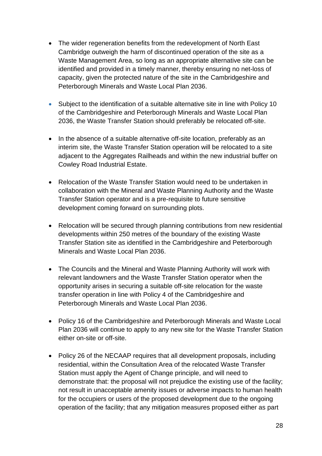- The wider regeneration benefits from the redevelopment of North East Cambridge outweigh the harm of discontinued operation of the site as a Waste Management Area, so long as an appropriate alternative site can be identified and provided in a timely manner, thereby ensuring no net-loss of capacity, given the protected nature of the site in the Cambridgeshire and Peterborough Minerals and Waste Local Plan 2036.
- Subject to the identification of a suitable alternative site in line with Policy 10 of the Cambridgeshire and Peterborough Minerals and Waste Local Plan 2036, the Waste Transfer Station should preferably be relocated off-site.
- In the absence of a suitable alternative off-site location, preferably as an interim site, the Waste Transfer Station operation will be relocated to a site adjacent to the Aggregates Railheads and within the new industrial buffer on Cowley Road Industrial Estate.
- Relocation of the Waste Transfer Station would need to be undertaken in collaboration with the Mineral and Waste Planning Authority and the Waste Transfer Station operator and is a pre-requisite to future sensitive development coming forward on surrounding plots.
- Relocation will be secured through planning contributions from new residential developments within 250 metres of the boundary of the existing Waste Transfer Station site as identified in the Cambridgeshire and Peterborough Minerals and Waste Local Plan 2036.
- The Councils and the Mineral and Waste Planning Authority will work with relevant landowners and the Waste Transfer Station operator when the opportunity arises in securing a suitable off-site relocation for the waste transfer operation in line with Policy 4 of the Cambridgeshire and Peterborough Minerals and Waste Local Plan 2036.
- Policy 16 of the Cambridgeshire and Peterborough Minerals and Waste Local Plan 2036 will continue to apply to any new site for the Waste Transfer Station either on-site or off-site.
- Policy 26 of the NECAAP requires that all development proposals, including residential, within the Consultation Area of the relocated Waste Transfer Station must apply the Agent of Change principle, and will need to demonstrate that: the proposal will not prejudice the existing use of the facility; not result in unacceptable amenity issues or adverse impacts to human health for the occupiers or users of the proposed development due to the ongoing operation of the facility; that any mitigation measures proposed either as part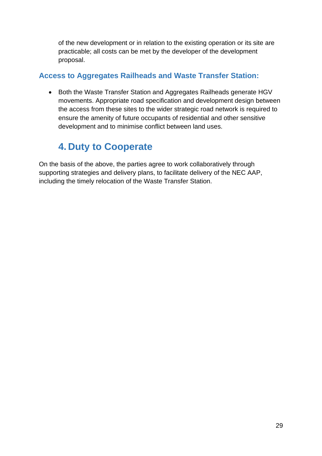of the new development or in relation to the existing operation or its site are practicable; all costs can be met by the developer of the development proposal.

### **Access to Aggregates Railheads and Waste Transfer Station:**

• Both the Waste Transfer Station and Aggregates Railheads generate HGV movements. Appropriate road specification and development design between the access from these sites to the wider strategic road network is required to ensure the amenity of future occupants of residential and other sensitive development and to minimise conflict between land uses.

## **4. Duty to Cooperate**

On the basis of the above, the parties agree to work collaboratively through supporting strategies and delivery plans, to facilitate delivery of the NEC AAP, including the timely relocation of the Waste Transfer Station.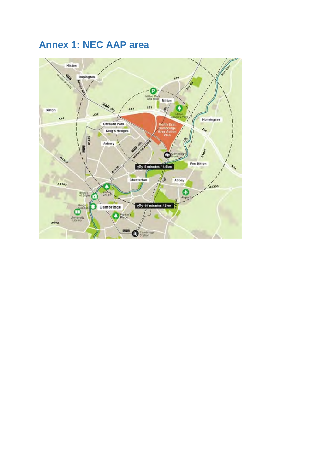## **Annex 1: NEC AAP area**

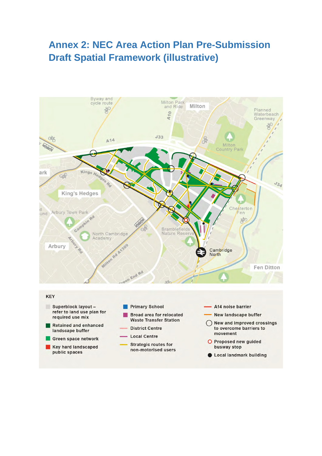## **Annex 2: NEC Area Action Plan Pre-Submission Draft Spatial Framework (illustrative)**



- **Broad area for relocated Waste Transfer Station** 
	- **District Centre**
	- **Local Centre**

Retained and enhanced

Green space network

Key hard landscaped

landscape buffer

public spaces

- **Strategic routes for** non-motorised users
- **New landscape buffer**
- ◯ New and improved crossings to overcome barriers to movement
- O Proposed new guided busway stop
- Local landmark building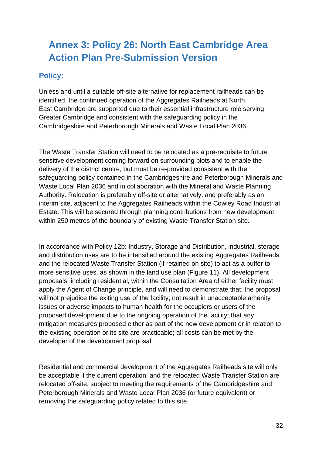## **Annex 3: Policy 26: North East Cambridge Area Action Plan Pre-Submission Version**

### **Policy:**

Unless and until a suitable off-site alternative for replacement railheads can be identified, the continued operation of the Aggregates Railheads at North East Cambridge are supported due to their essential infrastructure role serving Greater Cambridge and consistent with the safeguarding policy in the Cambridgeshire and Peterborough Minerals and Waste Local Plan 2036.

The Waste Transfer Station will need to be relocated as a pre-requisite to future sensitive development coming forward on surrounding plots and to enable the delivery of the district centre, but must be re-provided consistent with the safeguarding policy contained in the Cambridgeshire and Peterborough Minerals and Waste Local Plan 2036 and in collaboration with the Mineral and Waste Planning Authority. Relocation is preferably off-site or alternatively, and preferably as an interim site, adjacent to the Aggregates Railheads within the Cowley Road Industrial Estate. This will be secured through planning contributions from new development within 250 metres of the boundary of existing Waste Transfer Station site.

In accordance with Policy 12b: Industry, Storage and Distribution, industrial, storage and distribution uses are to be intensified around the existing Aggregates Railheads and the relocated Waste Transfer Station (if retained on site) to act as a buffer to more sensitive uses, as shown in the land use plan (Figure 11). All development proposals, including residential, within the Consultation Area of either facility must apply the Agent of Change principle, and will need to demonstrate that: the proposal will not prejudice the exiting use of the facility; not result in unacceptable amenity issues or adverse impacts to human health for the occupiers or users of the proposed development due to the ongoing operation of the facility; that any mitigation measures proposed either as part of the new development or in relation to the existing operation or its site are practicable; all costs can be met by the developer of the development proposal.

Residential and commercial development of the Aggregates Railheads site will only be acceptable if the current operation, and the relocated Waste Transfer Station are relocated off-site, subject to meeting the requirements of the Cambridgeshire and Peterborough Minerals and Waste Local Plan 2036 (or future equivalent) or removing the safeguarding policy related to this site.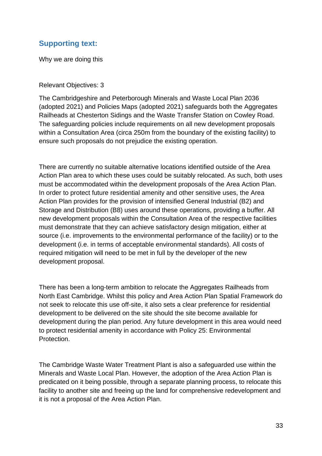### **Supporting text:**

Why we are doing this

Relevant Objectives: 3

The Cambridgeshire and Peterborough Minerals and Waste Local Plan 2036 (adopted 2021) and Policies Maps (adopted 2021) safeguards both the Aggregates Railheads at Chesterton Sidings and the Waste Transfer Station on Cowley Road. The safeguarding policies include requirements on all new development proposals within a Consultation Area (circa 250m from the boundary of the existing facility) to ensure such proposals do not prejudice the existing operation.

There are currently no suitable alternative locations identified outside of the Area Action Plan area to which these uses could be suitably relocated. As such, both uses must be accommodated within the development proposals of the Area Action Plan. In order to protect future residential amenity and other sensitive uses, the Area Action Plan provides for the provision of intensified General Industrial (B2) and Storage and Distribution (B8) uses around these operations, providing a buffer. All new development proposals within the Consultation Area of the respective facilities must demonstrate that they can achieve satisfactory design mitigation, either at source (i.e. improvements to the environmental performance of the facility) or to the development (i.e. in terms of acceptable environmental standards). All costs of required mitigation will need to be met in full by the developer of the new development proposal.

There has been a long-term ambition to relocate the Aggregates Railheads from North East Cambridge. Whilst this policy and Area Action Plan Spatial Framework do not seek to relocate this use off-site, it also sets a clear preference for residential development to be delivered on the site should the site become available for development during the plan period. Any future development in this area would need to protect residential amenity in accordance with Policy 25: Environmental Protection.

The Cambridge Waste Water Treatment Plant is also a safeguarded use within the Minerals and Waste Local Plan. However, the adoption of the Area Action Plan is predicated on it being possible, through a separate planning process, to relocate this facility to another site and freeing up the land for comprehensive redevelopment and it is not a proposal of the Area Action Plan.